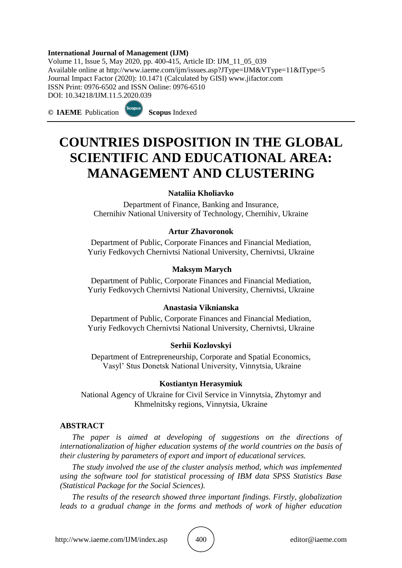#### **International Journal of Management (IJM)**

Volume 11, Issue 5, May 2020, pp. 400-415, Article ID: IJM\_11\_05\_039 Available online at http://www.iaeme.com/ijm/issues.asp?JType=IJM&VType=11&IType=5 Journal Impact Factor (2020): 10.1471 (Calculated by GISI) www.jifactor.com ISSN Print: 0976-6502 and ISSN Online: 0976-6510 DOI: 10.34218/IJM.11.5.2020.039

**© IAEME** Publication **Scopus** Indexed

# **COUNTRIES DISPOSITION IN THE GLOBAL SCIENTIFIC AND EDUCATIONAL AREA: MANAGEMENT AND CLUSTERING**

#### **Nataliia Kholiavko**

Department of Finance, Banking and Insurance, Chernihiv National University of Technology, Chernihiv, Ukraine

#### **Artur Zhavoronok**

Department of Public, Corporate Finances and Financial Mediation, Yuriy Fedkovych Chernivtsi National University, Chernivtsi, Ukraine

#### **Maksym Marych**

Department of Public, Corporate Finances and Financial Mediation, Yuriy Fedkovych Chernivtsi National University, Chernivtsi, Ukraine

#### **Anastasia Viknianska**

Department of Public, Corporate Finances and Financial Mediation, Yuriy Fedkovych Chernivtsi National University, Chernivtsi, Ukraine

#### **Serhii Kozlovskyi**

Department of Entrepreneurship, Corporate and Spatial Economics, Vasyl' Stus Donetsk National University, Vinnytsia, Ukraine

#### **Kostiantyn Herasymiuk**

National Agency of Ukraine for Civil Service in Vinnytsia, Zhytomyr and Khmelnitsky regions, Vinnytsia, Ukraine

#### **ABSTRACT**

*The paper is aimed at developing of suggestions on the directions of internationalization of higher education systems of the world countries on the basis of their clustering by parameters of export and import of educational services.*

*The study involved the use of the cluster analysis method, which was implemented using the software tool for statistical processing of IBM data SPSS Statistics Base (Statistical Package for the Social Sciences).*

*The results of the research showed three important findings. Firstly, globalization leads to a gradual change in the forms and methods of work of higher education*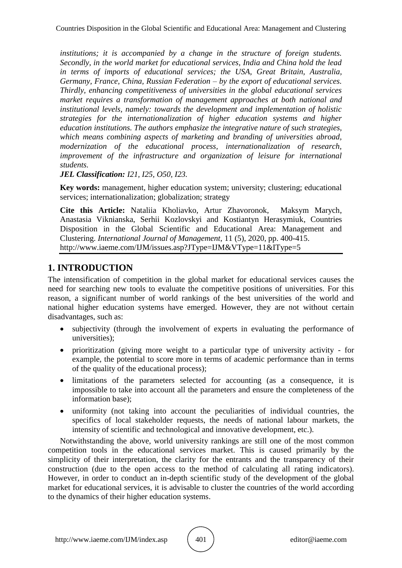*institutions; it is accompanied by a change in the structure of foreign students. Secondly, in the world market for educational services, India and China hold the lead in terms of imports of educational services; the USA, Great Britain, Australia, Germany, France, China, Russian Federation – by the export of educational services. Thirdly, enhancing competitiveness of universities in the global educational services market requires a transformation of management approaches at both national and institutional levels, namely: towards the development and implementation of holistic strategies for the internationalization of higher education systems and higher education institutions. The authors emphasize the integrative nature of such strategies, which means combining aspects of marketing and branding of universities abroad, modernization of the educational process, internationalization of research, improvement of the infrastructure and organization of leisure for international students.* 

*JEL Classification: I21, I25, O50, I23.*

**Key words:** management, higher education system; university; clustering; educational services; internationalization; globalization; strategy

**Cite this Article:** Nataliia Kholiavko, Artur Zhavoronok, Maksym Marych, Anastasia Viknianska, Serhii Kozlovskyi and Kostiantyn Herasymiuk, Countries Disposition in the Global Scientific and Educational Area: Management and Clustering. *International Journal of Management*, 11 (5), 2020, pp. 400-415. http://www.iaeme.com/IJM/issues.asp?JType=IJM&VType=11&IType=5

# **1. INTRODUCTION**

The intensification of competition in the global market for educational services causes the need for searching new tools to evaluate the competitive positions of universities. For this reason, a significant number of world rankings of the best universities of the world and national higher education systems have emerged. However, they are not without certain disadvantages, such as:

- subjectivity (through the involvement of experts in evaluating the performance of universities);
- prioritization (giving more weight to a particular type of university activity for example, the potential to score more in terms of academic performance than in terms of the quality of the educational process);
- limitations of the parameters selected for accounting (as a consequence, it is impossible to take into account all the parameters and ensure the completeness of the information base);
- uniformity (not taking into account the peculiarities of individual countries, the specifics of local stakeholder requests, the needs of national labour markets, the intensity of scientific and technological and innovative development, etc.).

Notwithstanding the above, world university rankings are still one of the most common competition tools in the educational services market. This is caused primarily by the simplicity of their interpretation, the clarity for the entrants and the transparency of their construction (due to the open access to the method of calculating all rating indicators). However, in order to conduct an in-depth scientific study of the development of the global market for educational services, it is advisable to cluster the countries of the world according to the dynamics of their higher education systems.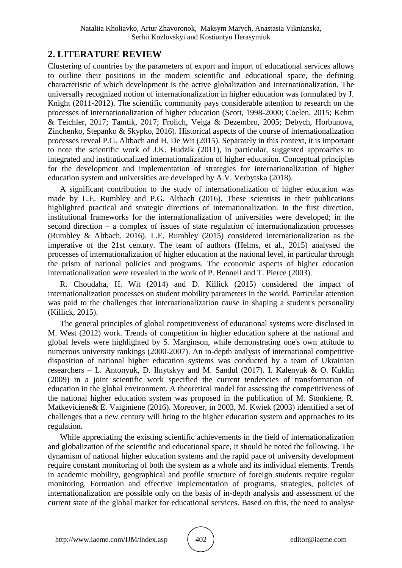## **2. LITERATURE REVIEW**

Clustering of countries by the parameters of export and import of educational services allows to outline their positions in the modern scientific and educational space, the defining characteristic of which development is the active globalization and internationalization. The universally recognized notion of internationalization in higher education was formulated by J. Knight (2011-2012). The scientific community pays considerable attention to research on the processes of internationalization of higher education (Scott, 1998-2000; Coelen, 2015; Kehm & Teichler, 2017; Tamtik, 2017; Frolich, Veiga & Dezembro, 2005; Debych, Horbunova, Zinchenko, Stepanko & Skypko, 2016). Historical aspects of the course of internationalization processes reveal P.G. Altbach and H. De Wit (2015). Separately in this context, it is important to note the scientific work of J.K. Hudzik (2011), in particular, suggested approaches to integrated and institutionalized internationalization of higher education. Conceptual principles for the development and implementation of strategies for internationalization of higher education system and universities are developed by A.V. Verbytska (2018).

A significant contribution to the study of internationalization of higher education was made by L.E. Rumbley and P.G. Altbach (2016). These scientists in their publications highlighted practical and strategic directions of internationalization. In the first direction, institutional frameworks for the internationalization of universities were developed; in the second direction – a complex of issues of state regulation of internationalization processes (Rumbley & Altbach, 2016). L.E. Rumbley (2015) considered internationalization as the imperative of the 21st century. The team of authors (Helms, et al., 2015) analysed the processes of internationalization of higher education at the national level, in particular through the prism of national policies and programs. The economic aspects of higher education internationalization were revealed in the work of P. Bennell and T. Pierce (2003).

R. Choudaha, H. Wit (2014) and D. Killick (2015) considered the impact of internationalization processes on student mobility parameters in the world. Particular attention was paid to the challenges that internationalization cause in shaping a student's personality (Killick, 2015).

The general principles of global competitiveness of educational systems were disclosed in M. West (2012) work. Trends of competition in higher education sphere at the national and global levels were highlighted by S. Marginson, while demonstrating one's own attitude to numerous university rankings (2000-2007). An in-depth analysis of international competitive disposition of national higher education systems was conducted by a team of Ukrainian researchers – L. Antonyuk, D. Ilnytskyy and M. Sandul (2017). I. Kalenyuk & O. Kuklin (2009) in a joint scientific work specified the current tendencies of transformation of education in the global environment. A theoretical model for assessing the competitiveness of the national higher education system was proposed in the publication of M. Stonkiene, R. Matkeviciene& E. Vaiginiene (2016). Moreover, in 2003, M. Kwiek (2003) identified a set of challenges that a new century will bring to the higher education system and approaches to its regulation.

While appreciating the existing scientific achievements in the field of internationalization and globalization of the scientific and educational space, it should be noted the following. The dynamism of national higher education systems and the rapid pace of university development require constant monitoring of both the system as a whole and its individual elements. Trends in academic mobility, geographical and profile structure of foreign students require regular monitoring. Formation and effective implementation of programs, strategies, policies of internationalization are possible only on the basis of in-depth analysis and assessment of the current state of the global market for educational services. Based on this, the need to analyse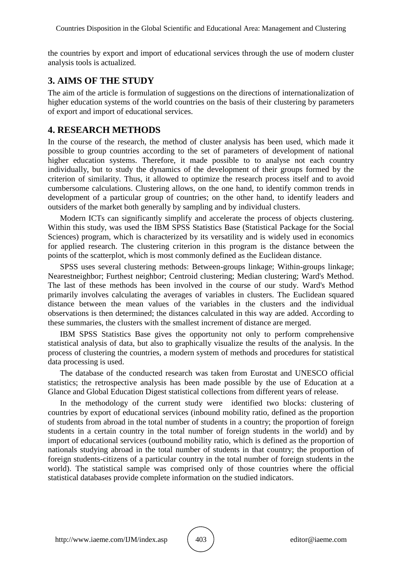the countries by export and import of educational services through the use of modern cluster analysis tools is actualized.

## **3. AIMS OF THE STUDY**

The aim of the article is formulation of suggestions on the directions of internationalization of higher education systems of the world countries on the basis of their clustering by parameters of export and import of educational services.

### **4. RESEARCH METHODS**

In the course of the research, the method of cluster analysis has been used, which made it possible to group countries according to the set of parameters of development of national higher education systems. Therefore, it made possible to to analyse not each country individually, but to study the dynamics of the development of their groups formed by the criterion of similarity. Thus, it allowed to optimize the research process itself and to avoid cumbersome calculations. Clustering allows, on the one hand, to identify common trends in development of a particular group of countries; on the other hand, to identify leaders and outsiders of the market both generally by sampling and by individual clusters.

Modern ICTs can significantly simplify and accelerate the process of objects clustering. Within this study, was used the IBM SPSS Statistics Base (Statistical Package for the Social Sciences) program, which is characterized by its versatility and is widely used in economics for applied research. The clustering criterion in this program is the distance between the points of the scatterplot, which is most commonly defined as the Euclidean distance.

SPSS uses several clustering methods: Between-groups linkage; Within-groups linkage; Nearestneighbor; Furthest neighbor; Centroid clustering; Median clustering; Ward's Method. The last of these methods has been involved in the course of our study. Ward's Method primarily involves calculating the averages of variables in clusters. The Euclidean squared distance between the mean values of the variables in the clusters and the individual observations is then determined; the distances calculated in this way are added. According to these summaries, the clusters with the smallest increment of distance are merged.

IBM SPSS Statistics Base gives the opportunity not only to perform comprehensive statistical analysis of data, but also to graphically visualize the results of the analysis. In the process of clustering the countries, a modern system of methods and procedures for statistical data processing is used.

The database of the conducted research was taken from Eurostat and UNESCO official statistics; the retrospective analysis has been made possible by the use of Education at a Glance and Global Education Digest statistical collections from different years of release.

In the methodology of the current study were identified two blocks: clustering of countries by export of educational services (inbound mobility ratio, defined as the proportion of students from abroad in the total number of students in a country; the proportion of foreign students in a certain country in the total number of foreign students in the world) and by import of educational services (outbound mobility ratio, which is defined as the proportion of nationals studying abroad in the total number of students in that country; the proportion of foreign students-citizens of a particular country in the total number of foreign students in the world). The statistical sample was comprised only of those countries where the official statistical databases provide complete information on the studied indicators.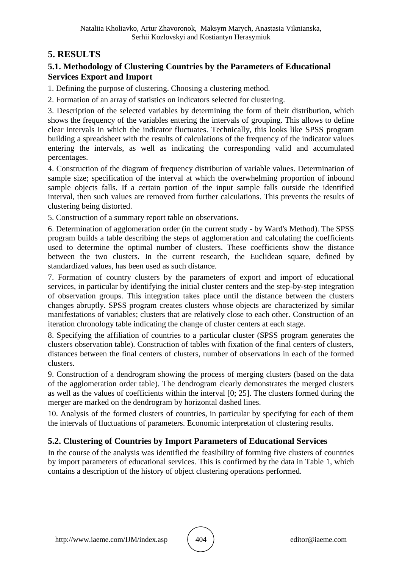# **5. RESULTS**

### **5.1. Methodology of Clustering Countries by the Parameters of Educational Services Export and Import**

1. Defining the purpose of clustering. Choosing a clustering method.

2. Formation of an array of statistics on indicators selected for clustering.

3. Description of the selected variables by determining the form of their distribution, which shows the frequency of the variables entering the intervals of grouping. This allows to define clear intervals in which the indicator fluctuates. Technically, this looks like SPSS program building a spreadsheet with the results of calculations of the frequency of the indicator values entering the intervals, as well as indicating the corresponding valid and accumulated percentages.

4. Construction of the diagram of frequency distribution of variable values. Determination of sample size; specification of the interval at which the overwhelming proportion of inbound sample objects falls. If a certain portion of the input sample falls outside the identified interval, then such values are removed from further calculations. This prevents the results of clustering being distorted.

5. Construction of a summary report table on observations.

6. Determination of agglomeration order (in the current study - by Ward's Method). The SPSS program builds a table describing the steps of agglomeration and calculating the coefficients used to determine the optimal number of clusters. These coefficients show the distance between the two clusters. In the current research, the Euclidean square, defined by standardized values, has been used as such distance.

7. Formation of country clusters by the parameters of export and import of educational services, in particular by identifying the initial cluster centers and the step-by-step integration of observation groups. This integration takes place until the distance between the clusters changes abruptly. SPSS program creates clusters whose objects are characterized by similar manifestations of variables; clusters that are relatively close to each other. Construction of an iteration chronology table indicating the change of cluster centers at each stage.

8. Specifying the affiliation of countries to a particular cluster (SPSS program generates the clusters observation table). Construction of tables with fixation of the final centers of clusters, distances between the final centers of clusters, number of observations in each of the formed clusters.

9. Construction of a dendrogram showing the process of merging clusters (based on the data of the agglomeration order table). The dendrogram clearly demonstrates the merged clusters as well as the values of coefficients within the interval [0; 25]. The clusters formed during the merger are marked on the dendrogram by horizontal dashed lines.

10. Analysis of the formed clusters of countries, in particular by specifying for each of them the intervals of fluctuations of parameters. Economic interpretation of clustering results.

### **5.2. Clustering of Countries by Import Parameters of Educational Services**

In the course of the analysis was identified the feasibility of forming five clusters of countries by import parameters of educational services. This is confirmed by the data in Table 1, which contains a description of the history of object clustering operations performed.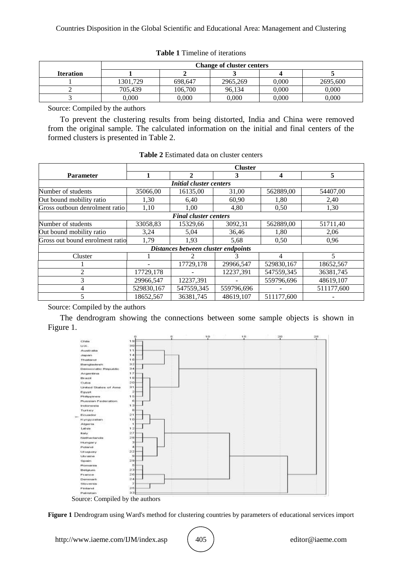|                  | <b>Change of cluster centers</b> |         |          |       |          |
|------------------|----------------------------------|---------|----------|-------|----------|
| <b>Iteration</b> |                                  |         |          |       |          |
|                  | 1301.729                         | 698.647 | 2965.269 | 0.000 | 2695,600 |
|                  | 705.439                          | 106.700 | 96.134   | 0.000 | 0.000    |
|                  | 0.000                            | 0,000   | 0.000    | 0,000 | 0,000    |

#### **Table 1** Timeline of iterations

Source: Compiled by the authors

To prevent the clustering results from being distorted, India and China were removed from the original sample. The calculated information on the initial and final centers of the formed clusters is presented in Table 2.

|                                     | <b>Cluster</b> |            |            |            |                          |  |  |
|-------------------------------------|----------------|------------|------------|------------|--------------------------|--|--|
| <b>Parameter</b>                    |                | 2          | 3          | 4          | 5                        |  |  |
| <i>Initial cluster centers</i>      |                |            |            |            |                          |  |  |
| Number of students                  | 35066,00       | 16135,00   | 31,00      | 562889,00  | 54407,00                 |  |  |
| Out bound mobility ratio            | 1,30           | 6,40       | 60,90      | 1,80       | 2,40                     |  |  |
| Gross outboun denrolment ratio      | 1,10           | 1,00       | 4,80       | 0,50       | 1,30                     |  |  |
| <b>Final cluster centers</b>        |                |            |            |            |                          |  |  |
| Number of students                  | 33058,83       | 15329,66   | 3092,31    | 562889,00  | 51711,40                 |  |  |
| Out bound mobility ratio            | 3,24           | 5,04       | 36,46      | 1,80       | 2,06                     |  |  |
| Gross out bound enrolment ratio     | 1,79           | 1,93       | 5,68       | 0,50       | 0,96                     |  |  |
| Distances between cluster endpoints |                |            |            |            |                          |  |  |
| Cluster                             |                |            |            | 4          | $\overline{\phantom{0}}$ |  |  |
|                                     |                | 17729,178  | 29966,547  | 529830,167 | 18652,567                |  |  |
| 2                                   | 17729,178      |            | 12237,391  | 547559,345 | 36381,745                |  |  |
| 3                                   | 29966,547      | 12237,391  |            | 559796,696 | 48619,107                |  |  |
| 4                                   | 529830,167     | 547559,345 | 559796,696 |            | 511177,600               |  |  |
|                                     | 18652,567      | 36381,745  | 48619,107  | 511177,600 |                          |  |  |

**Table 2** Estimated data on cluster centers

Source: Compiled by the authors

The dendrogram showing the connections between some sample objects is shown in Figure 1.



Source: Compiled by the authors

**Figure 1** Dendrogram using Ward's method for clustering countries by parameters of educational services import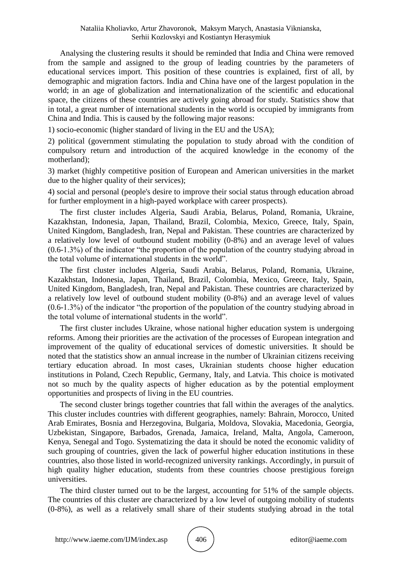Analysing the clustering results it should be reminded that India and China were removed from the sample and assigned to the group of leading countries by the parameters of educational services import. This position of these countries is explained, first of all, by demographic and migration factors. India and China have one of the largest population in the world; in an age of globalization and internationalization of the scientific and educational space, the citizens of these countries are actively going abroad for study. Statistics show that in total, a great number of international students in the world is occupied by immigrants from China and India. This is caused by the following major reasons:

1) socio-economic (higher standard of living in the EU and the USA);

2) political (government stimulating the population to study abroad with the condition of compulsory return and introduction of the acquired knowledge in the economy of the motherland);

3) market (highly competitive position of European and American universities in the market due to the higher quality of their services);

4) social and personal (people's desire to improve their social status through education abroad for further employment in a high-payed workplace with career prospects).

The first cluster includes Algeria, Saudi Arabia, Belarus, Poland, Romania, Ukraine, Kazakhstan, Indonesia, Japan, Thailand, Brazil, Colombia, Mexico, Greece, Italy, Spain, United Kingdom, Bangladesh, Iran, Nepal and Pakistan. These countries are characterized by a relatively low level of outbound student mobility (0-8%) and an average level of values (0.6-1.3%) of the indicator "the proportion of the population of the country studying abroad in the total volume of international students in the world".

The first cluster includes Algeria, Saudi Arabia, Belarus, Poland, Romania, Ukraine, Kazakhstan, Indonesia, Japan, Thailand, Brazil, Colombia, Mexico, Greece, Italy, Spain, United Kingdom, Bangladesh, Iran, Nepal and Pakistan. These countries are characterized by a relatively low level of outbound student mobility (0-8%) and an average level of values (0.6-1.3%) of the indicator "the proportion of the population of the country studying abroad in the total volume of international students in the world".

The first cluster includes Ukraine, whose national higher education system is undergoing reforms. Among their priorities are the activation of the processes of European integration and improvement of the quality of educational services of domestic universities. It should be noted that the statistics show an annual increase in the number of Ukrainian citizens receiving tertiary education abroad. In most cases, Ukrainian students choose higher education institutions in Poland, Czech Republic, Germany, Italy, and Latvia. This choice is motivated not so much by the quality aspects of higher education as by the potential employment opportunities and prospects of living in the EU countries.

The second cluster brings together countries that fall within the averages of the analytics. This cluster includes countries with different geographies, namely: Bahrain, Morocco, United Arab Emirates, Bosnia and Herzegovina, Bulgaria, Moldova, Slovakia, Macedonia, Georgia, Uzbekistan, Singapore, Barbados, Grenada, Jamaica, Ireland, Malta, Angola, Cameroon, Kenya, Senegal and Togo. Systematizing the data it should be noted the economic validity of such grouping of countries, given the lack of powerful higher education institutions in these countries, also those listed in world-recognized university rankings. Accordingly, in pursuit of high quality higher education, students from these countries choose prestigious foreign universities.

The third cluster turned out to be the largest, accounting for 51% of the sample objects. The countries of this cluster are characterized by a low level of outgoing mobility of students (0-8%), as well as a relatively small share of their students studying abroad in the total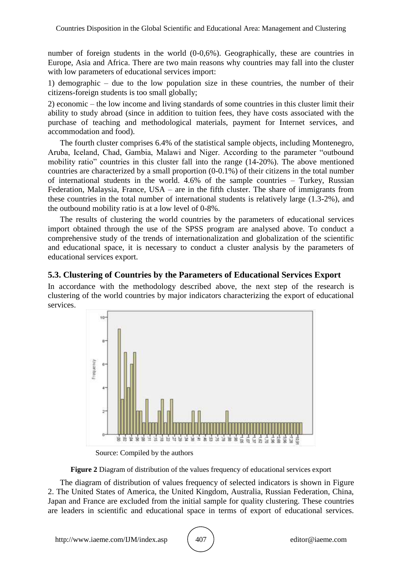number of foreign students in the world  $(0-0.6%)$ . Geographically, these are countries in Europe, Asia and Africa. There are two main reasons why countries may fall into the cluster with low parameters of educational services import:

1) demographic – due to the low population size in these countries, the number of their citizens-foreign students is too small globally;

2) economic – the low income and living standards of some countries in this cluster limit their ability to study abroad (since in addition to tuition fees, they have costs associated with the purchase of teaching and methodological materials, payment for Internet services, and accommodation and food).

The fourth cluster comprises 6.4% of the statistical sample objects, including Montenegro, Aruba, Iceland, Chad, Gambia, Malawi and Niger. According to the parameter "outbound mobility ratio" countries in this cluster fall into the range (14-20%). The above mentioned countries are characterized by a small proportion (0-0.1%) of their citizens in the total number of international students in the world. 4.6% of the sample countries – Turkey, Russian Federation, Malaysia, France, USA – are in the fifth cluster. The share of immigrants from these countries in the total number of international students is relatively large (1.3-2%), and the outbound mobility ratio is at a low level of 0-8%.

The results of clustering the world countries by the parameters of educational services import obtained through the use of the SPSS program are analysed above. To conduct a comprehensive study of the trends of internationalization and globalization of the scientific and educational space, it is necessary to conduct a cluster analysis by the parameters of educational services export.

### **5.3. Clustering of Countries by the Parameters of Educational Services Export**

In accordance with the methodology described above, the next step of the research is clustering of the world countries by major indicators characterizing the export of educational services.



Source: Compiled by the authors

**Figure 2** Diagram of distribution of the values frequency of educational services export

The diagram of distribution of values frequency of selected indicators is shown in Figure 2. The United States of America, the United Kingdom, Australia, Russian Federation, China, Japan and France are excluded from the initial sample for quality clustering. These countries are leaders in scientific and educational space in terms of export of educational services.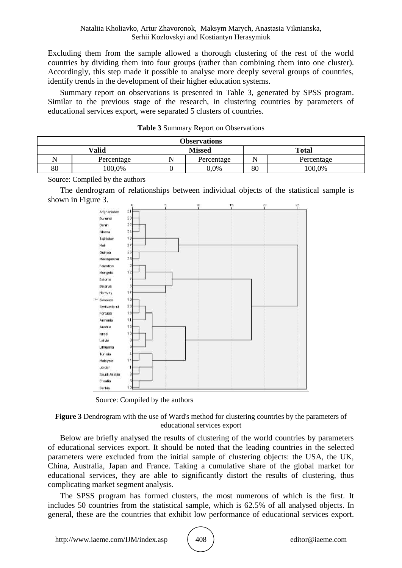Excluding them from the sample allowed a thorough clustering of the rest of the world countries by dividing them into four groups (rather than combining them into one cluster). Accordingly, this step made it possible to analyse more deeply several groups of countries, identify trends in the development of their higher education systems.

Summary report on observations is presented in Table 3, generated by SPSS program. Similar to the previous stage of the research, in clustering countries by parameters of educational services export, were separated 5 clusters of countries.

| <b>Observations</b> |            |               |            |              |            |  |
|---------------------|------------|---------------|------------|--------------|------------|--|
| Valid               |            | <b>Missed</b> |            | <b>Total</b> |            |  |
|                     | Percentage |               | Percentage | N٦           | Percentage |  |
| 80                  | 100,0%     |               | 0.0%       | 80           | 100,0%     |  |

| <b>Table 3 Summary Report on Observations</b> |  |  |
|-----------------------------------------------|--|--|
|-----------------------------------------------|--|--|

Source: Compiled by the authors

The dendrogram of relationships between individual objects of the statistical sample is shown in Figure 3.



Source: Compiled by the authors

#### **Figure 3** Dendrogram with the use of Ward's method for clustering countries by the parameters of educational services export

Below are briefly analysed the results of clustering of the world countries by parameters of educational services export. It should be noted that the leading countries in the selected parameters were excluded from the initial sample of clustering objects: the USA, the UK, China, Australia, Japan and France. Taking a cumulative share of the global market for educational services, they are able to significantly distort the results of clustering, thus complicating market segment analysis.

The SPSS program has formed clusters, the most numerous of which is the first. It includes 50 countries from the statistical sample, which is 62.5% of all analysed objects. In general, these are the countries that exhibit low performance of educational services export.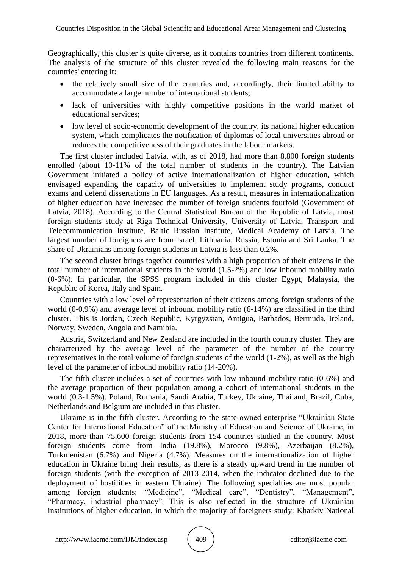Geographically, this cluster is quite diverse, as it contains countries from different continents. The analysis of the structure of this cluster revealed the following main reasons for the countries' entering it:

- the relatively small size of the countries and, accordingly, their limited ability to accommodate a large number of international students;
- lack of universities with highly competitive positions in the world market of educational services;
- low level of socio-economic development of the country, its national higher education system, which complicates the notification of diplomas of local universities abroad or reduces the competitiveness of their graduates in the labour markets.

The first cluster included Latvia, with, as of 2018, had more than 8,800 foreign students enrolled (about 10-11% of the total number of students in the country). The Latvian Government initiated a policy of active internationalization of higher education, which envisaged expanding the capacity of universities to implement study programs, conduct exams and defend dissertations in EU languages. As a result, measures in internationalization of higher education have increased the number of foreign students fourfold (Government of Latvia, 2018). According to the Central Statistical Bureau of the Republic of Latvia, most foreign students study at Riga Technical University, University of Latvia, Transport and Telecommunication Institute, Baltic Russian Institute, Medical Academy of Latvia. The largest number of foreigners are from Israel, Lithuania, Russia, Estonia and Sri Lanka. The share of Ukrainians among foreign students in Latvia is less than 0.2%.

The second cluster brings together countries with a high proportion of their citizens in the total number of international students in the world (1.5-2%) and low inbound mobility ratio (0-6%). In particular, the SPSS program included in this cluster Egypt, Malaysia, the Republic of Korea, Italy and Spain.

Countries with a low level of representation of their citizens among foreign students of the world (0-0,9%) and average level of inbound mobility ratio (6-14%) are classified in the third cluster. This is Jordan, Czech Republic, Kyrgyzstan, Antigua, Barbados, Bermuda, Ireland, Norway, Sweden, Angola and Namibia.

Austria, Switzerland and New Zealand are included in the fourth country cluster. They are characterized by the average level of the parameter of the number of the country representatives in the total volume of foreign students of the world (1-2%), as well as the high level of the parameter of inbound mobility ratio (14-20%).

The fifth cluster includes a set of countries with low inbound mobility ratio (0-6%) and the average proportion of their population among a cohort of international students in the world (0.3-1.5%). Poland, Romania, Saudi Arabia, Turkey, Ukraine, Thailand, Brazil, Cuba, Netherlands and Belgium are included in this cluster.

Ukraine is in the fifth cluster. According to the state-owned enterprise "Ukrainian State Center for International Education" of the Ministry of Education and Science of Ukraine, in 2018, more than 75,600 foreign students from 154 countries studied in the country. Most foreign students come from India (19.8%), Morocco (9.8%), Azerbaijan (8.2%), Turkmenistan (6.7%) and Nigeria (4.7%). Measures on the internationalization of higher education in Ukraine bring their results, as there is a steady upward trend in the number of foreign students (with the exception of 2013-2014, when the indicator declined due to the deployment of hostilities in eastern Ukraine). The following specialties are most popular among foreign students: "Medicine", "Medical care", "Dentistry", "Management", "Pharmacy, industrial pharmacy". This is also reflected in the structure of Ukrainian institutions of higher education, in which the majority of foreigners study: Kharkiv National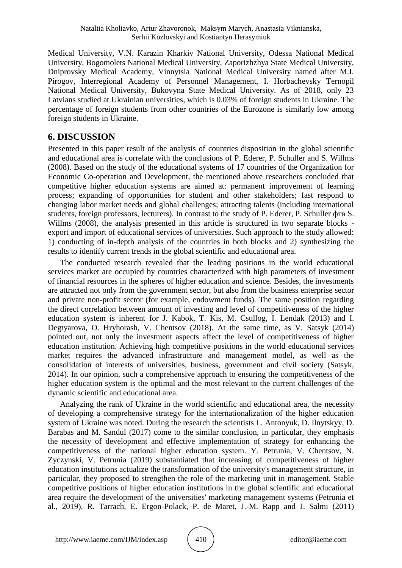Medical University, V.N. Karazin Kharkiv National University, Odessa National Medical University, Bogomolets National Medical University, Zaporizhzhya State Medical University, Dniprovsky Medical Academy, Vinnytsia National Medical University named after M.I. Pirogov, Interregional Academy of Personnel Management, I. Horbachevsky Ternopil National Medical University, Bukovyna State Medical University. As of 2018, only 23 Latvians studied at Ukrainian universities, which is 0.03% of foreign students in Ukraine. The percentage of foreign students from other countries of the Eurozone is similarly low among foreign students in Ukraine.

### **6. DISCUSSION**

Presented in this paper result of the analysis of countries disposition in the global scientific and educational area is correlate with the conclusions of P. Ederer, P. Schuller and S. Willms (2008). Based on the study of the educational systems of 17 countries of the Organization for Economic Co-operation and Development, the mentioned above researchers concluded that competitive higher education systems are aimed at: permanent improvement of learning process; expanding of opportunities for student and other stakeholders; fast respond to changing labor market needs and global challenges; attracting talents (including international students, foreign professors, lecturers). In contrast to the study of P. Ederer, P. Schuller фтв S. Willms (2008), the analysis presented in this article is structured in two separate blocks export and import of educational services of universities. Such approach to the study allowed: 1) conducting of in-depth analysis of the countries in both blocks and 2) synthesizing the results to identify current trends in the global scientific and educational area.

The conducted research revealed that the leading positions in the world educational services market are occupied by countries characterized with high parameters of investment of financial resources in the spheres of higher education and science. Besides, the investments are attracted not only from the government sector, but also from the business enterprise sector and private non-profit sector (for example, endowment funds). The same position regarding the direct correlation between amount of investing and level of competitiveness of the higher education system is inherent for J. Kabok, T. Kis, M. Csullog, I. Lendak (2013) and I. Degtyarova, O. Hryhorash, V. Chentsov (2018). At the same time, as V. Satsyk (2014) pointed out, not only the investment aspects affect the level of competitiveness of higher education institution. Achieving high competitive positions in the world educational services market requires the advanced infrastructure and management model, as well as the consolidation of interests of universities, business, government and civil society (Satsyk, 2014). In our opinion, such a comprehensive approach to ensuring the competitiveness of the higher education system is the optimal and the most relevant to the current challenges of the dynamic scientific and educational area.

Analyzing the rank of Ukraine in the world scientific and educational area, the necessity of developing a comprehensive strategy for the internationalization of the higher education system of Ukraine was noted. During the research the scientists L. Antonyuk, D. Ilnytskyy, D. Barabas and M. Sandul (2017) come to the similar conclusion, in particular, they emphasis the necessity of development and effective implementation of strategy for enhancing the competitiveness of the national higher education system. Y. Petrunia, V. Chentsov, N. Zyczynski, V. Petrunia (2019) substantiated that increasing of competitiveness of higher education institutions actualize the transformation of the university's management structure, in particular, they proposed to strengthen the role of the marketing unit in management. Stable competitive positions of higher education institutions in the global scientific and educational area require the development of the universities' marketing management systems (Petrunia et al., 2019). R. Tarrach, E. Ergon-Polack, P. de Maret, J.-M. Rapp and J. Salmi (2011)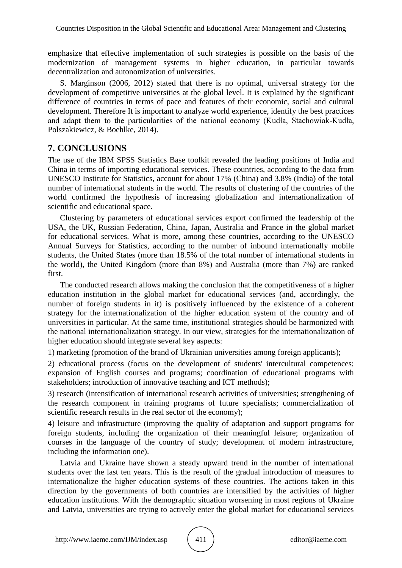emphasize that effective implementation of such strategies is possible on the basis of the modernization of management systems in higher education, in particular towards decentralization and autonomization of universities.

S. Marginson (2006, 2012) stated that there is no optimal, universal strategy for the development of competitive universities at the global level. It is explained by the significant difference of countries in terms of pace and features of their economic, social and cultural development. Therefore It is important to analyze world experience, identify the best practices and adapt them to the particularities of the national economy (Kudła, Stachowiak-Kudła, Polszakiewicz, & Boehlke, 2014).

# **7. CONCLUSIONS**

The use of the IBM SPSS Statistics Base toolkit revealed the leading positions of India and China in terms of importing educational services. These countries, according to the data from UNESCO Institute for Statistics, account for about 17% (China) and 3.8% (India) of the total number of international students in the world. The results of clustering of the countries of the world confirmed the hypothesis of increasing globalization and internationalization of scientific and educational space.

Clustering by parameters of educational services export confirmed the leadership of the USA, the UK, Russian Federation, China, Japan, Australia and France in the global market for educational services. What is more, among these countries, according to the UNESCO Annual Surveys for Statistics, according to the number of inbound internationally mobile students, the United States (more than 18.5% of the total number of international students in the world), the United Kingdom (more than 8%) and Australia (more than 7%) are ranked first.

The conducted research allows making the conclusion that the competitiveness of a higher education institution in the global market for educational services (and, accordingly, the number of foreign students in it) is positively influenced by the existence of a coherent strategy for the internationalization of the higher education system of the country and of universities in particular. At the same time, institutional strategies should be harmonized with the national internationalization strategy. In our view, strategies for the internationalization of higher education should integrate several key aspects:

1) marketing (promotion of the brand of Ukrainian universities among foreign applicants);

2) educational process (focus on the development of students' intercultural competences; expansion of English courses and programs; coordination of educational programs with stakeholders; introduction of innovative teaching and ICT methods);

3) research (intensification of international research activities of universities; strengthening of the research component in training programs of future specialists; commercialization of scientific research results in the real sector of the economy);

4) leisure and infrastructure (improving the quality of adaptation and support programs for foreign students, including the organization of their meaningful leisure; organization of courses in the language of the country of study; development of modern infrastructure, including the information one).

Latvia and Ukraine have shown a steady upward trend in the number of international students over the last ten years. This is the result of the gradual introduction of measures to internationalize the higher education systems of these countries. The actions taken in this direction by the governments of both countries are intensified by the activities of higher education institutions. With the demographic situation worsening in most regions of Ukraine and Latvia, universities are trying to actively enter the global market for educational services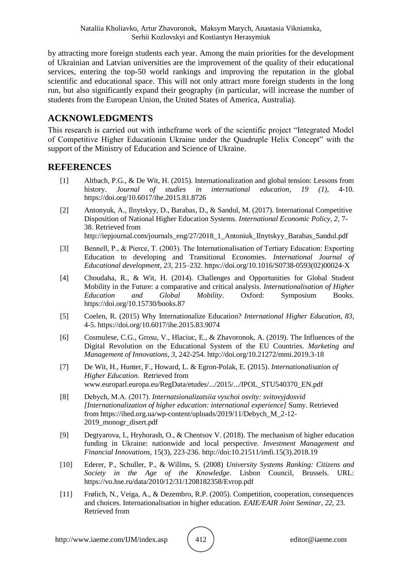by attracting more foreign students each year. Among the main priorities for the development of Ukrainian and Latvian universities are the improvement of the quality of their educational services, entering the top-50 world rankings and improving the reputation in the global scientific and educational space. This will not only attract more foreign students in the long run, but also significantly expand their geography (in particular, will increase the number of students from the European Union, the United States of America, Australia).

### **ACKNOWLEDGMENTS**

This research is carried out with intheframe work of the scientific project "Integrated Model of Competitive Higher Educationin Ukraine under the Quadruple Helix Concept" with the support of the Ministry of Education and Science of Ukraine.

### **REFERENCES**

- [1] Altbach, P.G., & De Wit, H. (2015). Internationalization and global tension: Lessons from history. *Journal of studies in international education, 19 (1),* 4-10. https://doi.org/10.6017/ihe.2015.81.8726
- [2] Antonyuk, A., Ilnytskyy, D., Barabas, D., & Sandul, M. (2017). International Competitive Disposition of National Higher Education Systems*. International Economic Policy, 2,* 7- 38. Retrieved from http://iepjournal.com/journals\_eng/27/2018\_1\_Antoniuk\_Ilnytskyy\_Barabas\_Sandul.pdf
- [3] Bennell, P., & Pierce, T. (2003). The Internationalisation of Tertiary Education: Exporting Education to developing and Transitional Economies. *International Journal of Educational development, 23,* 215–232. https://doi.org/10.1016/S0738-0593(02)00024-X
- [4] Choudaha, R., & Wit, H. (2014). Challenges and Opportunities for Global Student Mobility in the Future: a comparative and critical analysis. *Internationalisation of Higher Education and Global Mobility*. Oxford: Symposium Books. https://doi.org/10.15730/books.87
- [5] Coelen, R. (2015) Why Internationalize Education? *International Higher Education, 83,* 4-5. https://doi.org/10.6017/ihe.2015.83.9074
- [6] Cosmulese, C.G., Grosu, V., Hlaciuc, E., & Zhavoronok, A. (2019). The Influences of the Digital Revolution on the Educational System of the EU Countries. *Marketing and Management of Innovations*, *3,* 242-254. http://doi.org/10.21272/mmi.2019.3-18
- [7] De Wit, H., Hunter, F., Howard, L. & Egron-Polak, E. (2015). *Internationalisation of Higher Education*. Retrieved from www.europarl.europa.eu/RegData/etudes/.../2015/.../IPOL\_STU540370\_EN.pdf
- [8] Debych, М.А. (2017). *Internatsionalizatsiia vyschoi osvity: svitovyjdosvid [Internationalization of higher education: international experience]* Sumy. Retrieved from https://ihed.org.ua/wp-content/uploads/2019/11/Debych\_M\_2-12- 2019\_monogr\_disert.pdf
- [9] Degtyarova, I., Hryhorash, O., & Chentsov V. (2018). The mechanism of higher education funding in Ukraine: nationwide and local perspective. *Investment Management and Financial Innovations,* 15(3), 223-236. http://doi:10.21511/imfi.15(3).2018.19
- [10] Ederer, P., Schuller, P., & Willms, S. (2008) *University Systems Ranking: Citizens and Society in the Age of the Knowledge*. Lisbon Council, Brussels. URL: https://vo.hse.ru/data/2010/12/31/1208182358/Evrop.pdf
- [11] Frølich, N., Veiga, A., & Dezembro, R.P. (2005). Competition, cooperation, consequences and choices. Internationalisation in higher education. *EAIE/EAIR Joint Seminar*, *22,* 23. Retrieved from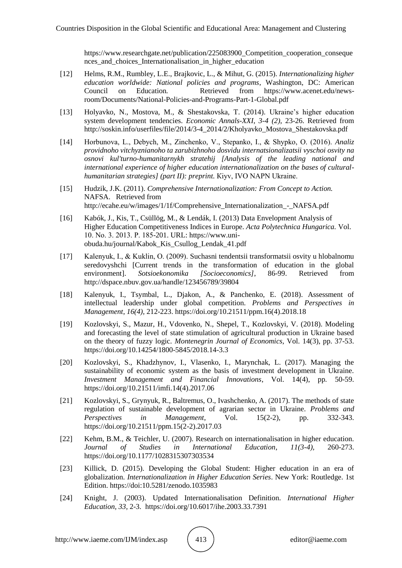https://www.researchgate.net/publication/225083900\_Competition\_cooperation\_conseque nces\_and\_choices\_Internationalisation\_in\_higher\_education

- [12] Helms, R.M., Rumbley, L.E., Brajkovic, L., & Mihut, G. (2015). *Internationalizing higher education worldwide: National policies and programs*, Washington, DC: American Council on Education*.* Retrieved from https://www.acenet.edu/newsroom/Documents/National-Policies-and-Programs-Part-1-Global.pdf
- [13] Holyavko, N., Mostova, M., & Shestakovska, T. (2014). Ukraine's higher education system development tendencies. *Economic Annals-XXI*, *3-4 (2),* 23-26. Retrieved from http://soskin.info/userfiles/file/2014/3-4\_2014/2/Kholyavko\_Mostova\_Shestakovska.pdf
- [14] Horbunova, L., Debych, M., Zinchenko, V., Stepanko, I., & Shypko, О. (2016). *Analiz providnoho vitchyznianoho ta zarubizhnoho dosvidu internatsionalizatsii vyschoi osvity na osnovi kul'turno-humanitarnykh stratehij [Analysis of the leading national and international experience of higher education internationalization on the bases of culturalhumanitarian strategies] (part II): preprint.* Кiyv, ІVО NАPN Ukraine.
- [15] Hudzik, J.K. (2011). *Comprehensive Internationalization: From Concept to Action.*  NAFSA. Retrieved from http://ecahe.eu/w/images/1/1f/Comprehensive Internationalization - NAFSA.pdf
- [16] Kabók, J., Kis, T., Csüllög, M., & Lendák, I. (2013) Data Envelopment Analysis of Higher Education Competitiveness Indices in Europe. *Acta Polytechnica Hungarica.* Vol. 10. No. 3. 2013. Р. 185-201. URL: https://www.uniobuda.hu/journal/Kabok\_Kis\_Csullog\_Lendak\_41.pdf
- [17] Kalenyuk, I., & Kuklin, О. (2009). Suchasni tendentsii transformatsii osvity u hlobalnomu seredovyshchi [Current trends in the transformation of education in the global environment]. *Sotsioekonomika [Socioeconomics]*, 86-99. Retrieved from http://dspace.nbuv.gov.ua/handle/123456789/39804
- [18] Kalenyuk, I., Tsymbal, L., Djakon, A., & Panchenko, E. (2018). Assessment of intellectual leadership under global competition. *Problems and Perspectives in Management*, *16(4),* 212-223. https://doi.org/10.21511/ppm.16(4).2018.18
- [19] Kozlovskyi, S., Mazur, H., Vdovenko, N., Shepel, T., Kozlovskyi, V. (2018). Modeling and forecasting the level of state stimulation of agricultural production in Ukraine based on the theory of fuzzy logic. *Montenegrin Journal of Economics*, Vol. 14(3), pp. 37-53. https://doi.org/10.14254/1800-5845/2018.14-3.3
- [20] Kozlovskyi, S., Khadzhynov, I., Vlasenko, I., Marynchak, L. (2017). Managing the sustainability of economic system as the basis of investment development in Ukraine. *Investment Management and Financial Innovations*, Vol. 14(4), pp. 50-59. https://doi.org/10.21511/imfi.14(4).2017.06
- [21] Kozlovskyi, S., Grynyuk, R., Baltremus, O., Ivashchenko, A. (2017). The methods of state regulation of sustainable development of agrarian sector in Ukraine. *Problems and Perspectives in Management*, Vol. 15(2-2), pp. 332-343. https://doi.org/10.21511/ppm.15(2-2).2017.03
- [22] Kehm, B.M., & Teichler, U. (2007). Research on internationalisation in higher education. *Journal of Studies in International Education*, *11(3-4),* 260-273. https://doi.org/10.1177/1028315307303534
- [23] Killick, D. (2015). Developing the Global Student: Higher education in an era of globalization. *Internationalization in Higher Education Series*. New York: Routledge. 1st Edition. https://doi:10.5281/zenodo.1035983
- [24] Knight, J. (2003). Updated Internationalisation Definition. *International Higher Education, 33,* 2-3. https://doi.org/10.6017/ihe.2003.33.7391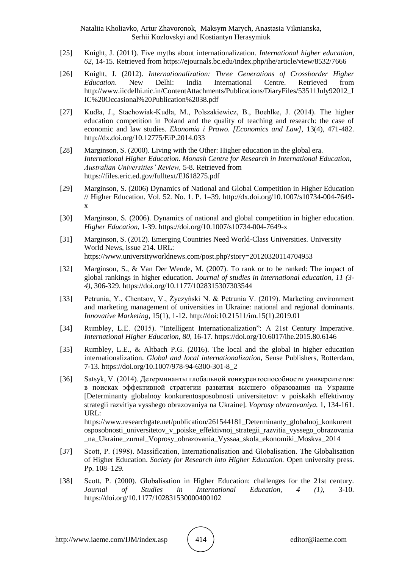Nataliia Kholiavko, Artur Zhavoronok, Maksym Marych, Anastasia Viknianska, Serhii Kozlovskyi and Kostiantyn Herasymiuk

- [25] Knight, J. (2011). Five myths about internationalization. *International higher education*, *62,* 14-15. Retrieved from https://ejournals.bc.edu/index.php/ihe/article/view/8532/7666
- [26] Knight, J. (2012). *Internationalization: Three Generations of Crossborder Higher Education*. New Delhi: India International Centre. Retrieved from http://www.iicdelhi.nic.in/ContentAttachments/Publications/DiaryFiles/53511July92012\_I IC%20Occasional%20Publication%2038.pdf
- [27] Kudła, J., Stachowiak-Kudła, M., Polszakiewicz, B., Boehlke, J. (2014). The higher education competition in Poland and the quality of teaching and research: the case of economic and law studies. *Ekonomia i Prawo. [Economics and Law],* 13(4), 471-482. http://dx.doi.org/10.12775/EiP.2014.033
- [28] Marginson, S. (2000). Living with the Other: Higher education in the global era. *International Higher Education. Monash Centre for Research in International Education, Australian Universities' Review,* 5-8. Retrieved from https://files.eric.ed.gov/fulltext/EJ618275.pdf
- [29] Marginson, S. (2006) Dynamics of National and Global Competition in Higher Education // Higher Education. Vol. 52. No. 1. P. 1–39. http://dx.doi.org/10.1007/s10734-004-7649 x
- [30] Marginson, S. (2006). Dynamics of national and global competition in higher education. *Higher Education*, 1-39. https://doi.org/10.1007/s10734-004-7649-x
- [31] Marginson, S. (2012). Emerging Countries Need World-Class Universities. University World News, issue 214. URL: https://www.universityworldnews.com/post.php?story=20120320114704953
- [32] Marginson, S., & Van Der Wende, M. (2007). To rank or to be ranked: The impact of global rankings in higher education. *Journal of studies in international education, 11 (3- 4),* 306-329. https://doi.org/10.1177/1028315307303544
- [33] Petrunia, Y., Chentsov, V., Życzyński N. & Petrunia V. (2019). Marketing environment and marketing management of universities in Ukraine: national and regional dominants. *Innovative Marketing*, 15(1), 1-12. http://doi:10.21511/im.15(1).2019.01
- [34] Rumbley, L.E. (2015). "Intelligent Internationalization": A 21st Century Imperative. *International Higher Education*, *80,* 16-17. https://doi.org/10.6017/ihe.2015.80.6146
- [35] Rumbley, L.E., & Altbach P.G. (2016). The local and the global in higher education internationalization. *Global and local internationalization*, Sense Publishers, Rotterdam, 7-13. https://doi.org/10.1007/978-94-6300-301-8\_2
- [36] Satsyk, V. (2014). Детерминанты глобальной конкурентоспособности университетов: в поисках эффективной стратегии развития высшего образования на Украине [Determinanty globalnoy konkurentosposobnosti universitetov: v poiskakh effektivnoy strategii razvitiya vysshego obrazovaniya na Ukraine]. *Voprosy obrazovaniya.* 1, 134-161. URL: https://www.researchgate.net/publication/261544181 Determinanty globalnoj konkurent

osposobnosti\_universitetov\_v\_poiske\_effektivnoj\_strategii\_razvitia\_vyssego\_obrazovania \_na\_Ukraine\_zurnal\_Voprosy\_obrazovania\_Vyssaa\_skola\_ekonomiki\_Moskva\_2014

- [37] Scott, P. (1998). Massification, Internationalisation and Globalisation. The Globalisation of Higher Education. *Society for Research into Higher Education.* Open university press. Рp. 108–129.
- [38] Scott, P. (2000). Globalisation in Higher Education: challenges for the 21st century. *Journal of Studies in International Education, 4 (1),* 3-10. https://doi.org/10.1177/102831530000400102